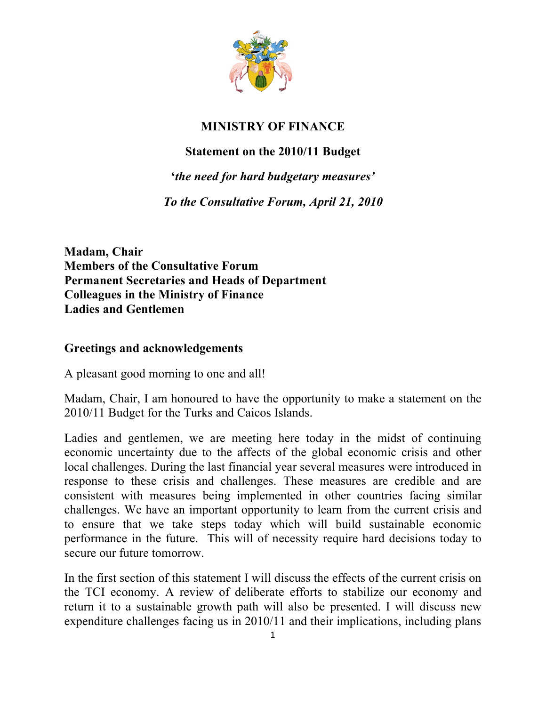

# **MINISTRY OF FINANCE**

### **Statement on the 2010/11 Budget**

**'***the need for hard budgetary measures'*

*To the Consultative Forum, April 21, 2010*

**Madam, Chair Members of the Consultative Forum Permanent Secretaries and Heads of Department Colleagues in the Ministry of Finance Ladies and Gentlemen**

#### **Greetings and acknowledgements**

A pleasant good morning to one and all!

Madam, Chair, I am honoured to have the opportunity to make a statement on the 2010/11 Budget for the Turks and Caicos Islands.

Ladies and gentlemen, we are meeting here today in the midst of continuing economic uncertainty due to the affects of the global economic crisis and other local challenges. During the last financial year several measures were introduced in response to these crisis and challenges. These measures are credible and are consistent with measures being implemented in other countries facing similar challenges. We have an important opportunity to learn from the current crisis and to ensure that we take steps today which will build sustainable economic performance in the future. This will of necessity require hard decisions today to secure our future tomorrow.

In the first section of this statement I will discuss the effects of the current crisis on the TCI economy. A review of deliberate efforts to stabilize our economy and return it to a sustainable growth path will also be presented. I will discuss new expenditure challenges facing us in 2010/11 and their implications, including plans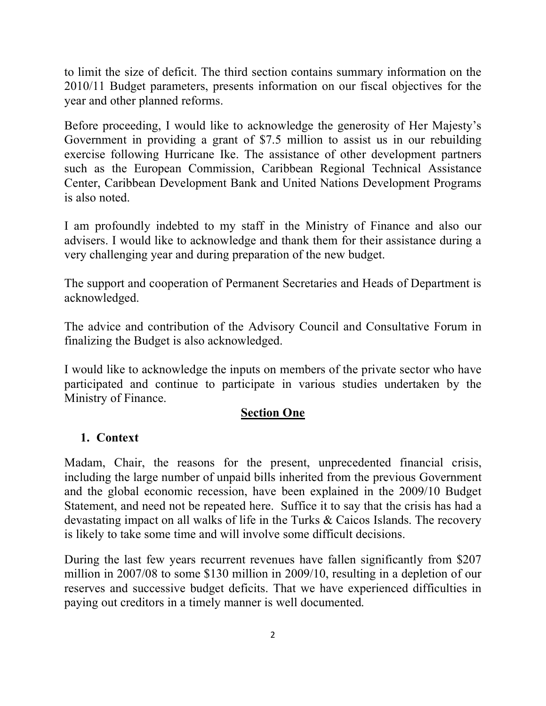to limit the size of deficit. The third section contains summary information on the 2010/11 Budget parameters, presents information on our fiscal objectives for the year and other planned reforms.

Before proceeding, I would like to acknowledge the generosity of Her Majesty's Government in providing a grant of \$7.5 million to assist us in our rebuilding exercise following Hurricane Ike. The assistance of other development partners such as the European Commission, Caribbean Regional Technical Assistance Center, Caribbean Development Bank and United Nations Development Programs is also noted.

I am profoundly indebted to my staff in the Ministry of Finance and also our advisers. I would like to acknowledge and thank them for their assistance during a very challenging year and during preparation of the new budget.

The support and cooperation of Permanent Secretaries and Heads of Department is acknowledged.

The advice and contribution of the Advisory Council and Consultative Forum in finalizing the Budget is also acknowledged.

I would like to acknowledge the inputs on members of the private sector who have participated and continue to participate in various studies undertaken by the Ministry of Finance.

### **Section One**

## **1. Context**

Madam, Chair, the reasons for the present, unprecedented financial crisis, including the large number of unpaid bills inherited from the previous Government and the global economic recession, have been explained in the 2009/10 Budget Statement, and need not be repeated here. Suffice it to say that the crisis has had a devastating impact on all walks of life in the Turks & Caicos Islands. The recovery is likely to take some time and will involve some difficult decisions.

During the last few years recurrent revenues have fallen significantly from \$207 million in 2007/08 to some \$130 million in 2009/10, resulting in a depletion of our reserves and successive budget deficits. That we have experienced difficulties in paying out creditors in a timely manner is well documented.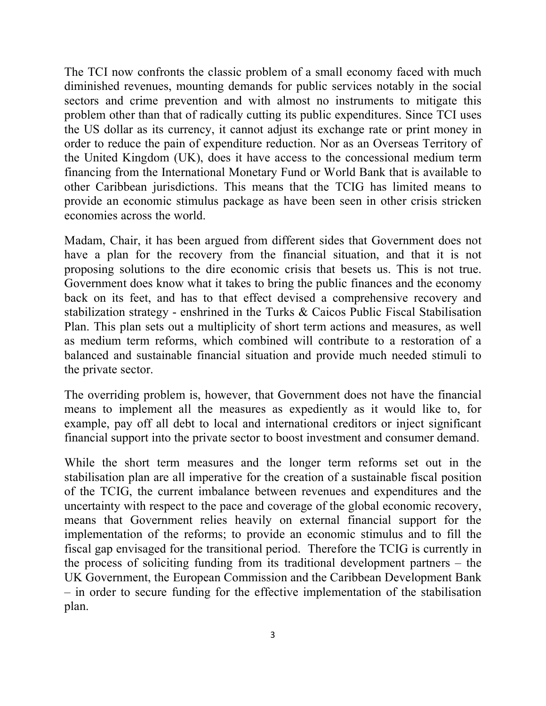The TCI now confronts the classic problem of a small economy faced with much diminished revenues, mounting demands for public services notably in the social sectors and crime prevention and with almost no instruments to mitigate this problem other than that of radically cutting its public expenditures. Since TCI uses the US dollar as its currency, it cannot adjust its exchange rate or print money in order to reduce the pain of expenditure reduction. Nor as an Overseas Territory of the United Kingdom (UK), does it have access to the concessional medium term financing from the International Monetary Fund or World Bank that is available to other Caribbean jurisdictions. This means that the TCIG has limited means to provide an economic stimulus package as have been seen in other crisis stricken economies across the world.

Madam, Chair, it has been argued from different sides that Government does not have a plan for the recovery from the financial situation, and that it is not proposing solutions to the dire economic crisis that besets us. This is not true. Government does know what it takes to bring the public finances and the economy back on its feet, and has to that effect devised a comprehensive recovery and stabilization strategy - enshrined in the Turks & Caicos Public Fiscal Stabilisation Plan. This plan sets out a multiplicity of short term actions and measures, as well as medium term reforms, which combined will contribute to a restoration of a balanced and sustainable financial situation and provide much needed stimuli to the private sector.

The overriding problem is, however, that Government does not have the financial means to implement all the measures as expediently as it would like to, for example, pay off all debt to local and international creditors or inject significant financial support into the private sector to boost investment and consumer demand.

While the short term measures and the longer term reforms set out in the stabilisation plan are all imperative for the creation of a sustainable fiscal position of the TCIG, the current imbalance between revenues and expenditures and the uncertainty with respect to the pace and coverage of the global economic recovery, means that Government relies heavily on external financial support for the implementation of the reforms; to provide an economic stimulus and to fill the fiscal gap envisaged for the transitional period. Therefore the TCIG is currently in the process of soliciting funding from its traditional development partners – the UK Government, the European Commission and the Caribbean Development Bank – in order to secure funding for the effective implementation of the stabilisation plan.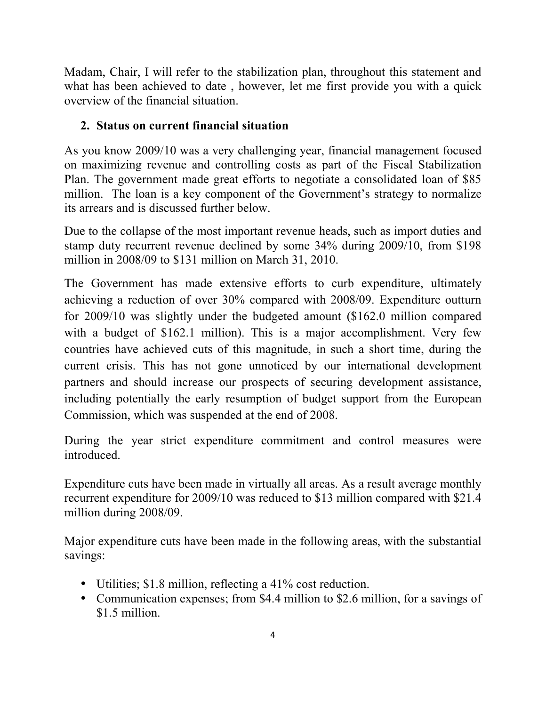Madam, Chair, I will refer to the stabilization plan, throughout this statement and what has been achieved to date , however, let me first provide you with a quick overview of the financial situation.

### **2. Status on current financial situation**

As you know 2009/10 was a very challenging year, financial management focused on maximizing revenue and controlling costs as part of the Fiscal Stabilization Plan. The government made great efforts to negotiate a consolidated loan of \$85 million. The loan is a key component of the Government's strategy to normalize its arrears and is discussed further below.

Due to the collapse of the most important revenue heads, such as import duties and stamp duty recurrent revenue declined by some 34% during 2009/10, from \$198 million in 2008/09 to \$131 million on March 31, 2010.

The Government has made extensive efforts to curb expenditure, ultimately achieving a reduction of over 30% compared with 2008/09. Expenditure outturn for 2009/10 was slightly under the budgeted amount (\$162.0 million compared with a budget of \$162.1 million). This is a major accomplishment. Very few countries have achieved cuts of this magnitude, in such a short time, during the current crisis. This has not gone unnoticed by our international development partners and should increase our prospects of securing development assistance, including potentially the early resumption of budget support from the European Commission, which was suspended at the end of 2008.

During the year strict expenditure commitment and control measures were introduced.

Expenditure cuts have been made in virtually all areas. As a result average monthly recurrent expenditure for 2009/10 was reduced to \$13 million compared with \$21.4 million during 2008/09.

Major expenditure cuts have been made in the following areas, with the substantial savings:

- Utilities; \$1.8 million, reflecting a 41% cost reduction.
- Communication expenses; from \$4.4 million to \$2.6 million, for a savings of \$1.5 million.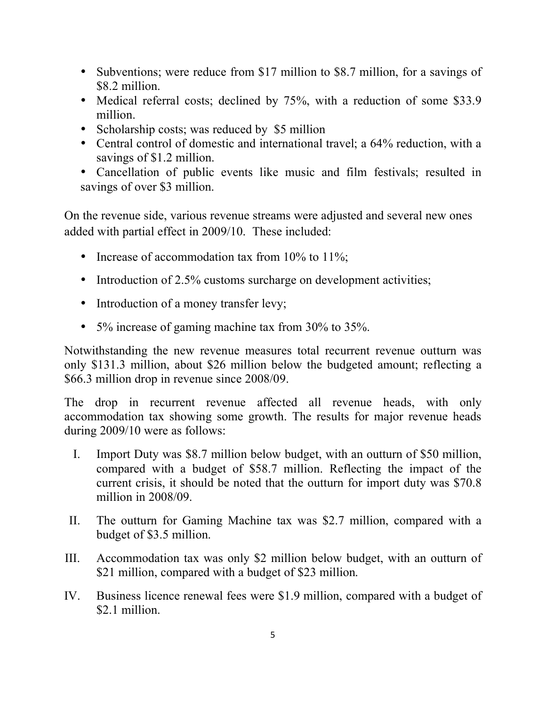- Subventions; were reduce from \$17 million to \$8.7 million, for a savings of \$8.2 million.
- Medical referral costs; declined by 75%, with a reduction of some \$33.9 million.
- Scholarship costs; was reduced by \$5 million
- Central control of domestic and international travel; a 64% reduction, with a savings of \$1.2 million.
- Cancellation of public events like music and film festivals; resulted in savings of over \$3 million.

On the revenue side, various revenue streams were adjusted and several new ones added with partial effect in 2009/10. These included:

- Increase of accommodation tax from 10% to 11%;
- Introduction of 2.5% customs surcharge on development activities;
- Introduction of a money transfer levy;
- 5% increase of gaming machine tax from 30% to 35%.

Notwithstanding the new revenue measures total recurrent revenue outturn was only \$131.3 million, about \$26 million below the budgeted amount; reflecting a \$66.3 million drop in revenue since 2008/09.

The drop in recurrent revenue affected all revenue heads, with only accommodation tax showing some growth. The results for major revenue heads during 2009/10 were as follows:

- I. Import Duty was \$8.7 million below budget, with an outturn of \$50 million, compared with a budget of \$58.7 million. Reflecting the impact of the current crisis, it should be noted that the outturn for import duty was \$70.8 million in 2008/09.
- II. The outturn for Gaming Machine tax was \$2.7 million, compared with a budget of \$3.5 million.
- III. Accommodation tax was only \$2 million below budget, with an outturn of \$21 million, compared with a budget of \$23 million.
- IV. Business licence renewal fees were \$1.9 million, compared with a budget of \$2.1 million.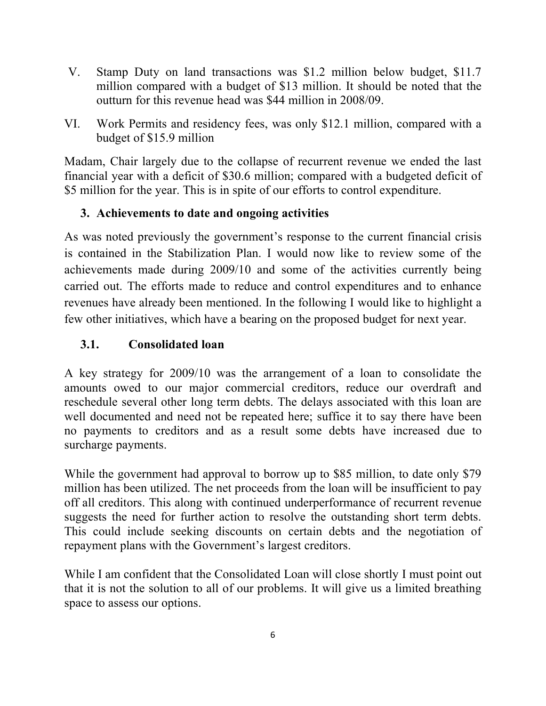- V. Stamp Duty on land transactions was \$1.2 million below budget, \$11.7 million compared with a budget of \$13 million. It should be noted that the outturn for this revenue head was \$44 million in 2008/09.
- VI. Work Permits and residency fees, was only \$12.1 million, compared with a budget of \$15.9 million

Madam, Chair largely due to the collapse of recurrent revenue we ended the last financial year with a deficit of \$30.6 million; compared with a budgeted deficit of \$5 million for the year. This is in spite of our efforts to control expenditure.

### **3. Achievements to date and ongoing activities**

As was noted previously the government's response to the current financial crisis is contained in the Stabilization Plan. I would now like to review some of the achievements made during 2009/10 and some of the activities currently being carried out. The efforts made to reduce and control expenditures and to enhance revenues have already been mentioned. In the following I would like to highlight a few other initiatives, which have a bearing on the proposed budget for next year.

## **3.1. Consolidated loan**

A key strategy for 2009/10 was the arrangement of a loan to consolidate the amounts owed to our major commercial creditors, reduce our overdraft and reschedule several other long term debts. The delays associated with this loan are well documented and need not be repeated here; suffice it to say there have been no payments to creditors and as a result some debts have increased due to surcharge payments.

While the government had approval to borrow up to \$85 million, to date only \$79 million has been utilized. The net proceeds from the loan will be insufficient to pay off all creditors. This along with continued underperformance of recurrent revenue suggests the need for further action to resolve the outstanding short term debts. This could include seeking discounts on certain debts and the negotiation of repayment plans with the Government's largest creditors.

While I am confident that the Consolidated Loan will close shortly I must point out that it is not the solution to all of our problems. It will give us a limited breathing space to assess our options.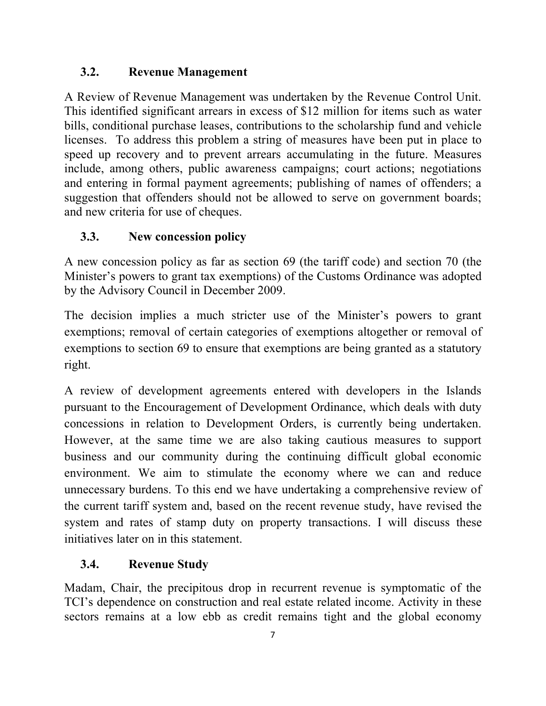## **3.2. Revenue Management**

A Review of Revenue Management was undertaken by the Revenue Control Unit. This identified significant arrears in excess of \$12 million for items such as water bills, conditional purchase leases, contributions to the scholarship fund and vehicle licenses. To address this problem a string of measures have been put in place to speed up recovery and to prevent arrears accumulating in the future. Measures include, among others, public awareness campaigns; court actions; negotiations and entering in formal payment agreements; publishing of names of offenders; a suggestion that offenders should not be allowed to serve on government boards; and new criteria for use of cheques.

## **3.3. New concession policy**

A new concession policy as far as section 69 (the tariff code) and section 70 (the Minister's powers to grant tax exemptions) of the Customs Ordinance was adopted by the Advisory Council in December 2009.

The decision implies a much stricter use of the Minister's powers to grant exemptions; removal of certain categories of exemptions altogether or removal of exemptions to section 69 to ensure that exemptions are being granted as a statutory right.

A review of development agreements entered with developers in the Islands pursuant to the Encouragement of Development Ordinance, which deals with duty concessions in relation to Development Orders, is currently being undertaken. However, at the same time we are also taking cautious measures to support business and our community during the continuing difficult global economic environment. We aim to stimulate the economy where we can and reduce unnecessary burdens. To this end we have undertaking a comprehensive review of the current tariff system and, based on the recent revenue study, have revised the system and rates of stamp duty on property transactions. I will discuss these initiatives later on in this statement.

## **3.4. Revenue Study**

Madam, Chair, the precipitous drop in recurrent revenue is symptomatic of the TCI's dependence on construction and real estate related income. Activity in these sectors remains at a low ebb as credit remains tight and the global economy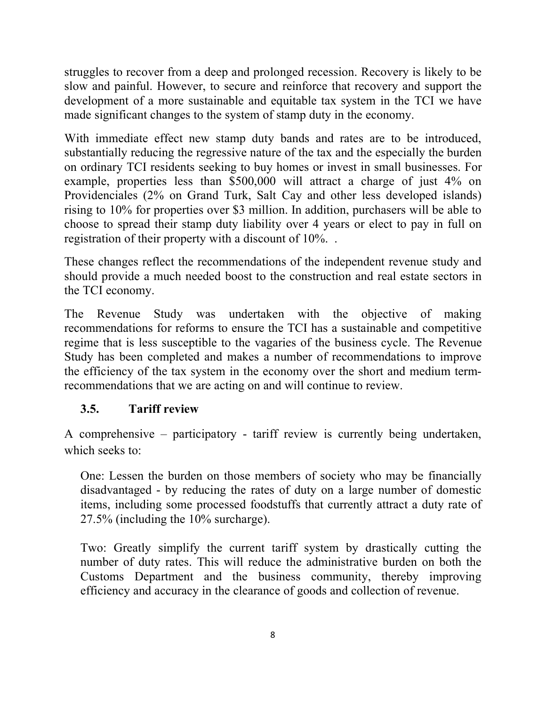struggles to recover from a deep and prolonged recession. Recovery is likely to be slow and painful. However, to secure and reinforce that recovery and support the development of a more sustainable and equitable tax system in the TCI we have made significant changes to the system of stamp duty in the economy.

With immediate effect new stamp duty bands and rates are to be introduced, substantially reducing the regressive nature of the tax and the especially the burden on ordinary TCI residents seeking to buy homes or invest in small businesses. For example, properties less than \$500,000 will attract a charge of just 4% on Providenciales (2% on Grand Turk, Salt Cay and other less developed islands) rising to 10% for properties over \$3 million. In addition, purchasers will be able to choose to spread their stamp duty liability over 4 years or elect to pay in full on registration of their property with a discount of 10%. .

These changes reflect the recommendations of the independent revenue study and should provide a much needed boost to the construction and real estate sectors in the TCI economy.

The Revenue Study was undertaken with the objective of making recommendations for reforms to ensure the TCI has a sustainable and competitive regime that is less susceptible to the vagaries of the business cycle. The Revenue Study has been completed and makes a number of recommendations to improve the efficiency of the tax system in the economy over the short and medium termrecommendations that we are acting on and will continue to review.

# **3.5. Tariff review**

A comprehensive – participatory - tariff review is currently being undertaken, which seeks to:

One: Lessen the burden on those members of society who may be financially disadvantaged - by reducing the rates of duty on a large number of domestic items, including some processed foodstuffs that currently attract a duty rate of 27.5% (including the 10% surcharge).

Two: Greatly simplify the current tariff system by drastically cutting the number of duty rates. This will reduce the administrative burden on both the Customs Department and the business community, thereby improving efficiency and accuracy in the clearance of goods and collection of revenue.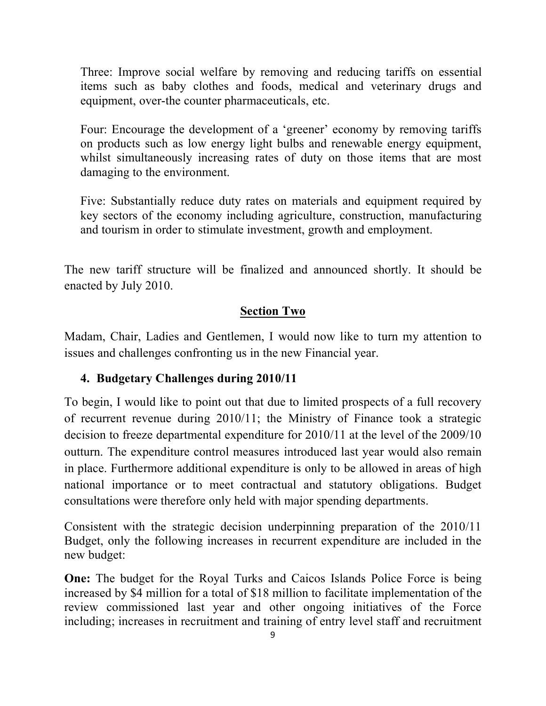Three: Improve social welfare by removing and reducing tariffs on essential items such as baby clothes and foods, medical and veterinary drugs and equipment, over-the counter pharmaceuticals, etc.

Four: Encourage the development of a 'greener' economy by removing tariffs on products such as low energy light bulbs and renewable energy equipment, whilst simultaneously increasing rates of duty on those items that are most damaging to the environment.

Five: Substantially reduce duty rates on materials and equipment required by key sectors of the economy including agriculture, construction, manufacturing and tourism in order to stimulate investment, growth and employment.

The new tariff structure will be finalized and announced shortly. It should be enacted by July 2010.

### **Section Two**

Madam, Chair, Ladies and Gentlemen, I would now like to turn my attention to issues and challenges confronting us in the new Financial year.

## **4. Budgetary Challenges during 2010/11**

To begin, I would like to point out that due to limited prospects of a full recovery of recurrent revenue during 2010/11; the Ministry of Finance took a strategic decision to freeze departmental expenditure for 2010/11 at the level of the 2009/10 outturn. The expenditure control measures introduced last year would also remain in place. Furthermore additional expenditure is only to be allowed in areas of high national importance or to meet contractual and statutory obligations. Budget consultations were therefore only held with major spending departments.

Consistent with the strategic decision underpinning preparation of the 2010/11 Budget, only the following increases in recurrent expenditure are included in the new budget:

**One:** The budget for the Royal Turks and Caicos Islands Police Force is being increased by \$4 million for a total of \$18 million to facilitate implementation of the review commissioned last year and other ongoing initiatives of the Force including; increases in recruitment and training of entry level staff and recruitment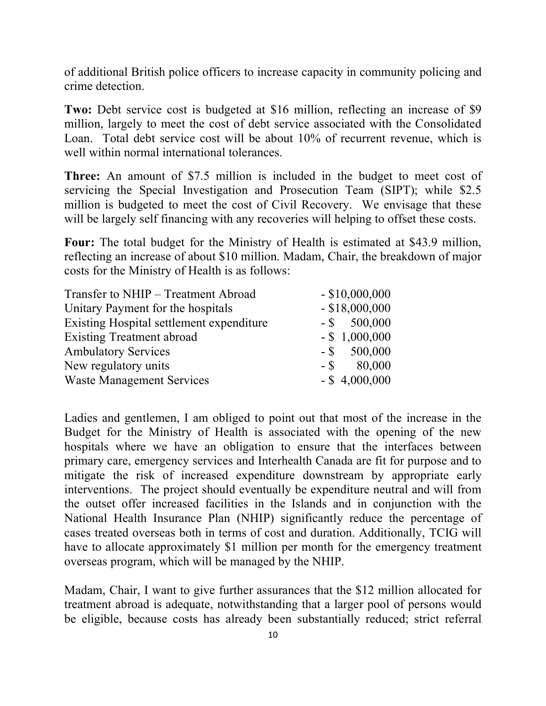of additional British police officers to increase capacity in community policing and crime detection.

**Two:** Debt service cost is budgeted at \$16 million, reflecting an increase of \$9 million, largely to meet the cost of debt service associated with the Consolidated Loan. Total debt service cost will be about 10% of recurrent revenue, which is well within normal international tolerances.

**Three:** An amount of \$7.5 million is included in the budget to meet cost of servicing the Special Investigation and Prosecution Team (SIPT); while \$2.5 million is budgeted to meet the cost of Civil Recovery. We envisage that these will be largely self financing with any recoveries will helping to offset these costs.

**Four:** The total budget for the Ministry of Health is estimated at \$43.9 million, reflecting an increase of about \$10 million. Madam, Chair, the breakdown of major costs for the Ministry of Health is as follows:

| Transfer to NHIP - Treatment Abroad      | $-$ \$10,000,000 |
|------------------------------------------|------------------|
| Unitary Payment for the hospitals        | $-$ \$18,000,000 |
| Existing Hospital settlement expenditure | $-$ \$ 500,000   |
| <b>Existing Treatment abroad</b>         | $-$ \$ 1,000,000 |
| <b>Ambulatory Services</b>               | $-$ \$ 500,000   |
| New regulatory units                     | $-$ \$ 80,000    |
| <b>Waste Management Services</b>         | $-$ \$ 4,000,000 |
|                                          |                  |

Ladies and gentlemen, I am obliged to point out that most of the increase in the Budget for the Ministry of Health is associated with the opening of the new hospitals where we have an obligation to ensure that the interfaces between primary care, emergency services and Interhealth Canada are fit for purpose and to mitigate the risk of increased expenditure downstream by appropriate early interventions. The project should eventually be expenditure neutral and will from the outset offer increased facilities in the Islands and in conjunction with the National Health Insurance Plan (NHIP) significantly reduce the percentage of cases treated overseas both in terms of cost and duration. Additionally, TCIG will have to allocate approximately \$1 million per month for the emergency treatment overseas program, which will be managed by the NHIP.

Madam, Chair, I want to give further assurances that the \$12 million allocated for treatment abroad is adequate, notwithstanding that a larger pool of persons would be eligible, because costs has already been substantially reduced; strict referral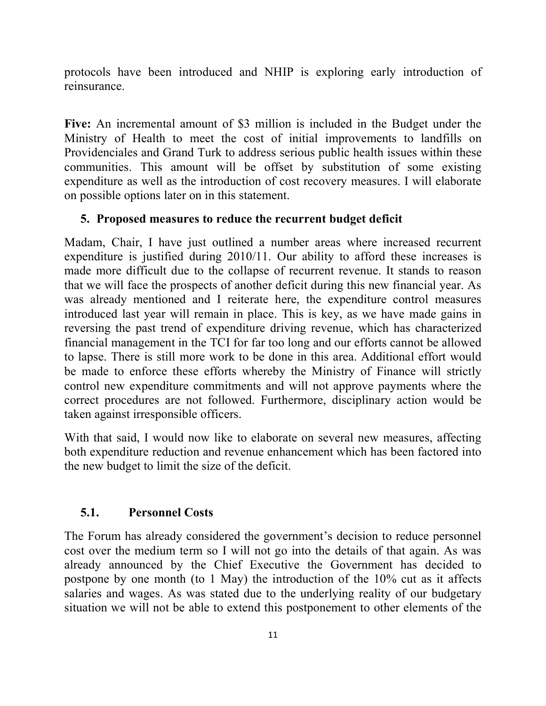protocols have been introduced and NHIP is exploring early introduction of reinsurance.

**Five:** An incremental amount of \$3 million is included in the Budget under the Ministry of Health to meet the cost of initial improvements to landfills on Providenciales and Grand Turk to address serious public health issues within these communities. This amount will be offset by substitution of some existing expenditure as well as the introduction of cost recovery measures. I will elaborate on possible options later on in this statement.

#### **5. Proposed measures to reduce the recurrent budget deficit**

Madam, Chair, I have just outlined a number areas where increased recurrent expenditure is justified during 2010/11. Our ability to afford these increases is made more difficult due to the collapse of recurrent revenue. It stands to reason that we will face the prospects of another deficit during this new financial year. As was already mentioned and I reiterate here, the expenditure control measures introduced last year will remain in place. This is key, as we have made gains in reversing the past trend of expenditure driving revenue, which has characterized financial management in the TCI for far too long and our efforts cannot be allowed to lapse. There is still more work to be done in this area. Additional effort would be made to enforce these efforts whereby the Ministry of Finance will strictly control new expenditure commitments and will not approve payments where the correct procedures are not followed. Furthermore, disciplinary action would be taken against irresponsible officers.

With that said, I would now like to elaborate on several new measures, affecting both expenditure reduction and revenue enhancement which has been factored into the new budget to limit the size of the deficit.

#### **5.1. Personnel Costs**

The Forum has already considered the government's decision to reduce personnel cost over the medium term so I will not go into the details of that again. As was already announced by the Chief Executive the Government has decided to postpone by one month (to 1 May) the introduction of the 10% cut as it affects salaries and wages. As was stated due to the underlying reality of our budgetary situation we will not be able to extend this postponement to other elements of the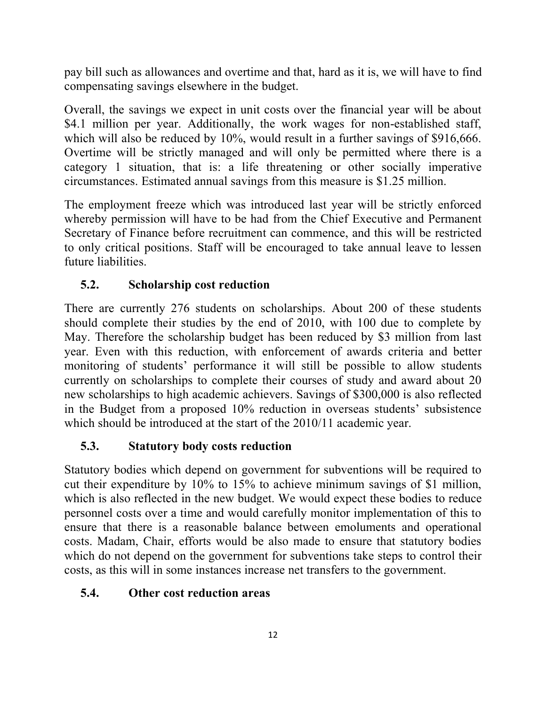pay bill such as allowances and overtime and that, hard as it is, we will have to find compensating savings elsewhere in the budget.

Overall, the savings we expect in unit costs over the financial year will be about \$4.1 million per year. Additionally, the work wages for non-established staff, which will also be reduced by 10%, would result in a further savings of \$916,666. Overtime will be strictly managed and will only be permitted where there is a category 1 situation, that is: a life threatening or other socially imperative circumstances. Estimated annual savings from this measure is \$1.25 million.

The employment freeze which was introduced last year will be strictly enforced whereby permission will have to be had from the Chief Executive and Permanent Secretary of Finance before recruitment can commence, and this will be restricted to only critical positions. Staff will be encouraged to take annual leave to lessen future liabilities.

## **5.2. Scholarship cost reduction**

There are currently 276 students on scholarships. About 200 of these students should complete their studies by the end of 2010, with 100 due to complete by May. Therefore the scholarship budget has been reduced by \$3 million from last year. Even with this reduction, with enforcement of awards criteria and better monitoring of students' performance it will still be possible to allow students currently on scholarships to complete their courses of study and award about 20 new scholarships to high academic achievers. Savings of \$300,000 is also reflected in the Budget from a proposed 10% reduction in overseas students' subsistence which should be introduced at the start of the 2010/11 academic year.

## **5.3. Statutory body costs reduction**

Statutory bodies which depend on government for subventions will be required to cut their expenditure by 10% to 15% to achieve minimum savings of \$1 million, which is also reflected in the new budget. We would expect these bodies to reduce personnel costs over a time and would carefully monitor implementation of this to ensure that there is a reasonable balance between emoluments and operational costs. Madam, Chair, efforts would be also made to ensure that statutory bodies which do not depend on the government for subventions take steps to control their costs, as this will in some instances increase net transfers to the government.

## **5.4. Other cost reduction areas**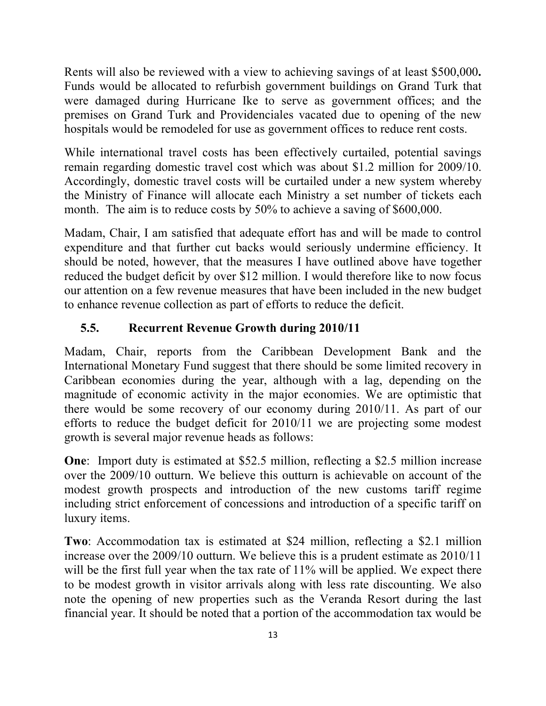Rents will also be reviewed with a view to achieving savings of at least \$500,000**.** Funds would be allocated to refurbish government buildings on Grand Turk that were damaged during Hurricane Ike to serve as government offices; and the premises on Grand Turk and Providenciales vacated due to opening of the new hospitals would be remodeled for use as government offices to reduce rent costs.

While international travel costs has been effectively curtailed, potential savings remain regarding domestic travel cost which was about \$1.2 million for 2009/10. Accordingly, domestic travel costs will be curtailed under a new system whereby the Ministry of Finance will allocate each Ministry a set number of tickets each month. The aim is to reduce costs by 50% to achieve a saving of \$600,000.

Madam, Chair, I am satisfied that adequate effort has and will be made to control expenditure and that further cut backs would seriously undermine efficiency. It should be noted, however, that the measures I have outlined above have together reduced the budget deficit by over \$12 million. I would therefore like to now focus our attention on a few revenue measures that have been included in the new budget to enhance revenue collection as part of efforts to reduce the deficit.

### **5.5. Recurrent Revenue Growth during 2010/11**

Madam, Chair, reports from the Caribbean Development Bank and the International Monetary Fund suggest that there should be some limited recovery in Caribbean economies during the year, although with a lag, depending on the magnitude of economic activity in the major economies. We are optimistic that there would be some recovery of our economy during 2010/11. As part of our efforts to reduce the budget deficit for 2010/11 we are projecting some modest growth is several major revenue heads as follows:

**One**: Import duty is estimated at \$52.5 million, reflecting a \$2.5 million increase over the 2009/10 outturn. We believe this outturn is achievable on account of the modest growth prospects and introduction of the new customs tariff regime including strict enforcement of concessions and introduction of a specific tariff on luxury items.

**Two**: Accommodation tax is estimated at \$24 million, reflecting a \$2.1 million increase over the 2009/10 outturn. We believe this is a prudent estimate as 2010/11 will be the first full year when the tax rate of 11% will be applied. We expect there to be modest growth in visitor arrivals along with less rate discounting. We also note the opening of new properties such as the Veranda Resort during the last financial year. It should be noted that a portion of the accommodation tax would be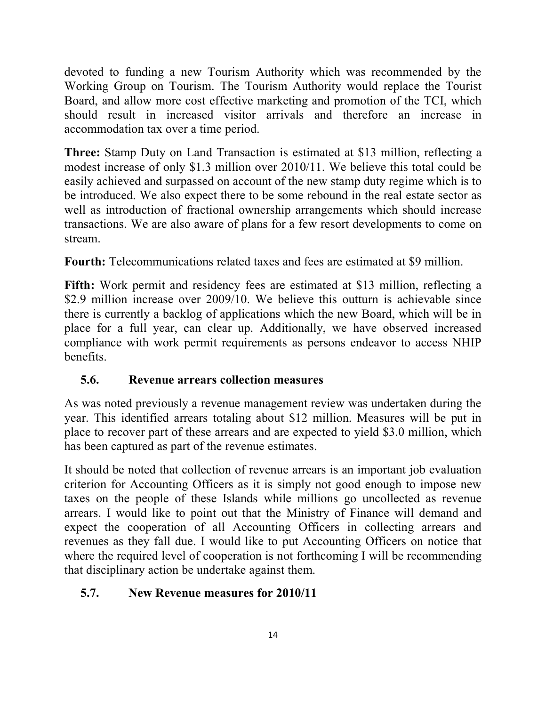devoted to funding a new Tourism Authority which was recommended by the Working Group on Tourism. The Tourism Authority would replace the Tourist Board, and allow more cost effective marketing and promotion of the TCI, which should result in increased visitor arrivals and therefore an increase in accommodation tax over a time period.

**Three:** Stamp Duty on Land Transaction is estimated at \$13 million, reflecting a modest increase of only \$1.3 million over 2010/11. We believe this total could be easily achieved and surpassed on account of the new stamp duty regime which is to be introduced. We also expect there to be some rebound in the real estate sector as well as introduction of fractional ownership arrangements which should increase transactions. We are also aware of plans for a few resort developments to come on stream.

**Fourth:** Telecommunications related taxes and fees are estimated at \$9 million.

**Fifth:** Work permit and residency fees are estimated at \$13 million, reflecting a \$2.9 million increase over 2009/10. We believe this outturn is achievable since there is currently a backlog of applications which the new Board, which will be in place for a full year, can clear up. Additionally, we have observed increased compliance with work permit requirements as persons endeavor to access NHIP **benefits** 

# **5.6. Revenue arrears collection measures**

As was noted previously a revenue management review was undertaken during the year. This identified arrears totaling about \$12 million. Measures will be put in place to recover part of these arrears and are expected to yield \$3.0 million, which has been captured as part of the revenue estimates.

It should be noted that collection of revenue arrears is an important job evaluation criterion for Accounting Officers as it is simply not good enough to impose new taxes on the people of these Islands while millions go uncollected as revenue arrears. I would like to point out that the Ministry of Finance will demand and expect the cooperation of all Accounting Officers in collecting arrears and revenues as they fall due. I would like to put Accounting Officers on notice that where the required level of cooperation is not forthcoming I will be recommending that disciplinary action be undertake against them.

# **5.7. New Revenue measures for 2010/11**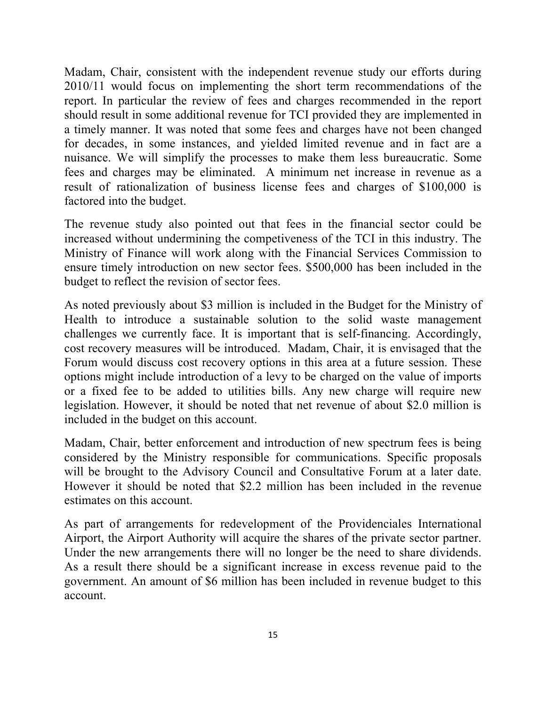Madam, Chair, consistent with the independent revenue study our efforts during 2010/11 would focus on implementing the short term recommendations of the report. In particular the review of fees and charges recommended in the report should result in some additional revenue for TCI provided they are implemented in a timely manner. It was noted that some fees and charges have not been changed for decades, in some instances, and yielded limited revenue and in fact are a nuisance. We will simplify the processes to make them less bureaucratic. Some fees and charges may be eliminated. A minimum net increase in revenue as a result of rationalization of business license fees and charges of \$100,000 is factored into the budget.

The revenue study also pointed out that fees in the financial sector could be increased without undermining the competiveness of the TCI in this industry. The Ministry of Finance will work along with the Financial Services Commission to ensure timely introduction on new sector fees. \$500,000 has been included in the budget to reflect the revision of sector fees.

As noted previously about \$3 million is included in the Budget for the Ministry of Health to introduce a sustainable solution to the solid waste management challenges we currently face. It is important that is self-financing. Accordingly, cost recovery measures will be introduced. Madam, Chair, it is envisaged that the Forum would discuss cost recovery options in this area at a future session. These options might include introduction of a levy to be charged on the value of imports or a fixed fee to be added to utilities bills. Any new charge will require new legislation. However, it should be noted that net revenue of about \$2.0 million is included in the budget on this account.

Madam, Chair, better enforcement and introduction of new spectrum fees is being considered by the Ministry responsible for communications. Specific proposals will be brought to the Advisory Council and Consultative Forum at a later date. However it should be noted that \$2.2 million has been included in the revenue estimates on this account.

As part of arrangements for redevelopment of the Providenciales International Airport, the Airport Authority will acquire the shares of the private sector partner. Under the new arrangements there will no longer be the need to share dividends. As a result there should be a significant increase in excess revenue paid to the government. An amount of \$6 million has been included in revenue budget to this account.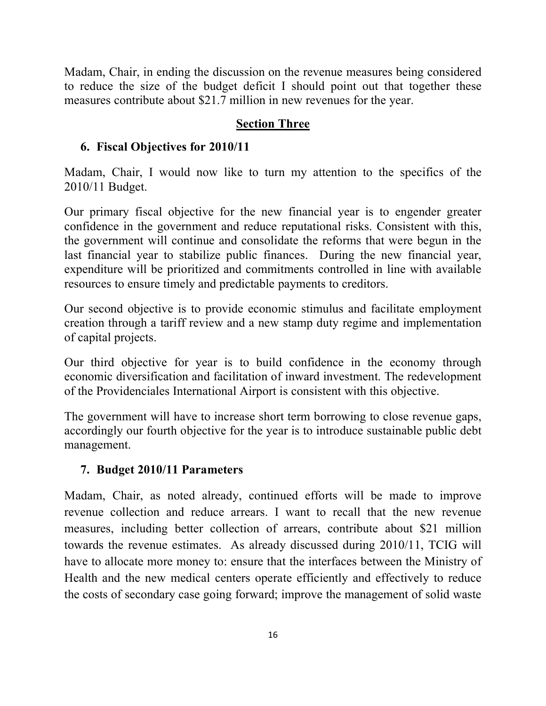Madam, Chair, in ending the discussion on the revenue measures being considered to reduce the size of the budget deficit I should point out that together these measures contribute about \$21.7 million in new revenues for the year.

## **Section Three**

## **6. Fiscal Objectives for 2010/11**

Madam, Chair, I would now like to turn my attention to the specifics of the 2010/11 Budget.

Our primary fiscal objective for the new financial year is to engender greater confidence in the government and reduce reputational risks. Consistent with this, the government will continue and consolidate the reforms that were begun in the last financial year to stabilize public finances. During the new financial year, expenditure will be prioritized and commitments controlled in line with available resources to ensure timely and predictable payments to creditors.

Our second objective is to provide economic stimulus and facilitate employment creation through a tariff review and a new stamp duty regime and implementation of capital projects.

Our third objective for year is to build confidence in the economy through economic diversification and facilitation of inward investment. The redevelopment of the Providenciales International Airport is consistent with this objective.

The government will have to increase short term borrowing to close revenue gaps, accordingly our fourth objective for the year is to introduce sustainable public debt management.

## **7. Budget 2010/11 Parameters**

Madam, Chair, as noted already, continued efforts will be made to improve revenue collection and reduce arrears. I want to recall that the new revenue measures, including better collection of arrears, contribute about \$21 million towards the revenue estimates. As already discussed during 2010/11, TCIG will have to allocate more money to: ensure that the interfaces between the Ministry of Health and the new medical centers operate efficiently and effectively to reduce the costs of secondary case going forward; improve the management of solid waste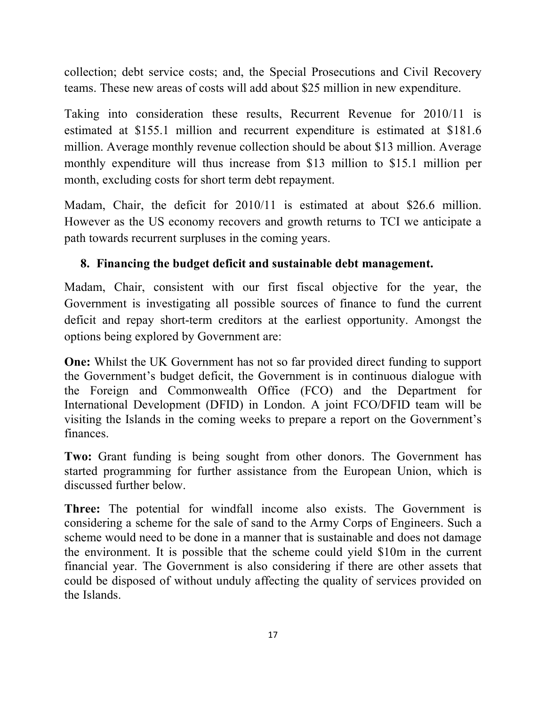collection; debt service costs; and, the Special Prosecutions and Civil Recovery teams. These new areas of costs will add about \$25 million in new expenditure.

Taking into consideration these results, Recurrent Revenue for 2010/11 is estimated at \$155.1 million and recurrent expenditure is estimated at \$181.6 million. Average monthly revenue collection should be about \$13 million. Average monthly expenditure will thus increase from \$13 million to \$15.1 million per month, excluding costs for short term debt repayment.

Madam, Chair, the deficit for 2010/11 is estimated at about \$26.6 million. However as the US economy recovers and growth returns to TCI we anticipate a path towards recurrent surpluses in the coming years.

## **8. Financing the budget deficit and sustainable debt management.**

Madam, Chair, consistent with our first fiscal objective for the year, the Government is investigating all possible sources of finance to fund the current deficit and repay short-term creditors at the earliest opportunity. Amongst the options being explored by Government are:

**One:** Whilst the UK Government has not so far provided direct funding to support the Government's budget deficit, the Government is in continuous dialogue with the Foreign and Commonwealth Office (FCO) and the Department for International Development (DFID) in London. A joint FCO/DFID team will be visiting the Islands in the coming weeks to prepare a report on the Government's finances.

**Two:** Grant funding is being sought from other donors. The Government has started programming for further assistance from the European Union, which is discussed further below.

**Three:** The potential for windfall income also exists. The Government is considering a scheme for the sale of sand to the Army Corps of Engineers. Such a scheme would need to be done in a manner that is sustainable and does not damage the environment. It is possible that the scheme could yield \$10m in the current financial year. The Government is also considering if there are other assets that could be disposed of without unduly affecting the quality of services provided on the Islands.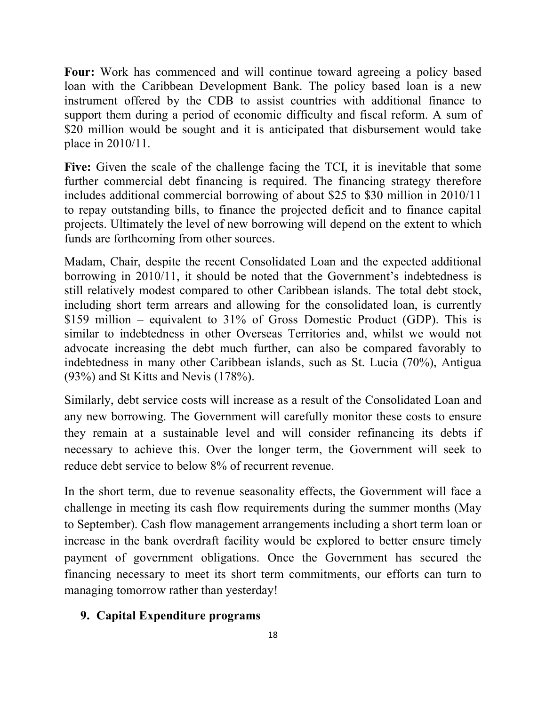**Four:** Work has commenced and will continue toward agreeing a policy based loan with the Caribbean Development Bank. The policy based loan is a new instrument offered by the CDB to assist countries with additional finance to support them during a period of economic difficulty and fiscal reform. A sum of \$20 million would be sought and it is anticipated that disbursement would take place in 2010/11.

**Five:** Given the scale of the challenge facing the TCI, it is inevitable that some further commercial debt financing is required. The financing strategy therefore includes additional commercial borrowing of about \$25 to \$30 million in 2010/11 to repay outstanding bills, to finance the projected deficit and to finance capital projects. Ultimately the level of new borrowing will depend on the extent to which funds are forthcoming from other sources.

Madam, Chair, despite the recent Consolidated Loan and the expected additional borrowing in 2010/11, it should be noted that the Government's indebtedness is still relatively modest compared to other Caribbean islands. The total debt stock, including short term arrears and allowing for the consolidated loan, is currently \$159 million – equivalent to 31% of Gross Domestic Product (GDP). This is similar to indebtedness in other Overseas Territories and, whilst we would not advocate increasing the debt much further, can also be compared favorably to indebtedness in many other Caribbean islands, such as St. Lucia (70%), Antigua (93%) and St Kitts and Nevis (178%).

Similarly, debt service costs will increase as a result of the Consolidated Loan and any new borrowing. The Government will carefully monitor these costs to ensure they remain at a sustainable level and will consider refinancing its debts if necessary to achieve this. Over the longer term, the Government will seek to reduce debt service to below 8% of recurrent revenue.

In the short term, due to revenue seasonality effects, the Government will face a challenge in meeting its cash flow requirements during the summer months (May to September). Cash flow management arrangements including a short term loan or increase in the bank overdraft facility would be explored to better ensure timely payment of government obligations. Once the Government has secured the financing necessary to meet its short term commitments, our efforts can turn to managing tomorrow rather than yesterday!

### **9. Capital Expenditure programs**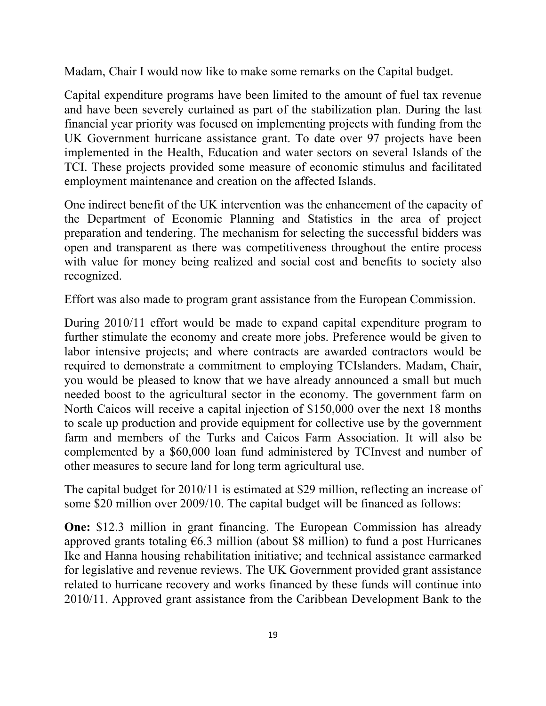Madam, Chair I would now like to make some remarks on the Capital budget.

Capital expenditure programs have been limited to the amount of fuel tax revenue and have been severely curtained as part of the stabilization plan. During the last financial year priority was focused on implementing projects with funding from the UK Government hurricane assistance grant. To date over 97 projects have been implemented in the Health, Education and water sectors on several Islands of the TCI. These projects provided some measure of economic stimulus and facilitated employment maintenance and creation on the affected Islands.

One indirect benefit of the UK intervention was the enhancement of the capacity of the Department of Economic Planning and Statistics in the area of project preparation and tendering. The mechanism for selecting the successful bidders was open and transparent as there was competitiveness throughout the entire process with value for money being realized and social cost and benefits to society also recognized.

Effort was also made to program grant assistance from the European Commission.

During 2010/11 effort would be made to expand capital expenditure program to further stimulate the economy and create more jobs. Preference would be given to labor intensive projects; and where contracts are awarded contractors would be required to demonstrate a commitment to employing TCIslanders. Madam, Chair, you would be pleased to know that we have already announced a small but much needed boost to the agricultural sector in the economy. The government farm on North Caicos will receive a capital injection of \$150,000 over the next 18 months to scale up production and provide equipment for collective use by the government farm and members of the Turks and Caicos Farm Association. It will also be complemented by a \$60,000 loan fund administered by TCInvest and number of other measures to secure land for long term agricultural use.

The capital budget for 2010/11 is estimated at \$29 million, reflecting an increase of some \$20 million over 2009/10. The capital budget will be financed as follows:

**One:** \$12.3 million in grant financing. The European Commission has already approved grants totaling  $\epsilon$ 6.3 million (about \$8 million) to fund a post Hurricanes Ike and Hanna housing rehabilitation initiative; and technical assistance earmarked for legislative and revenue reviews. The UK Government provided grant assistance related to hurricane recovery and works financed by these funds will continue into 2010/11. Approved grant assistance from the Caribbean Development Bank to the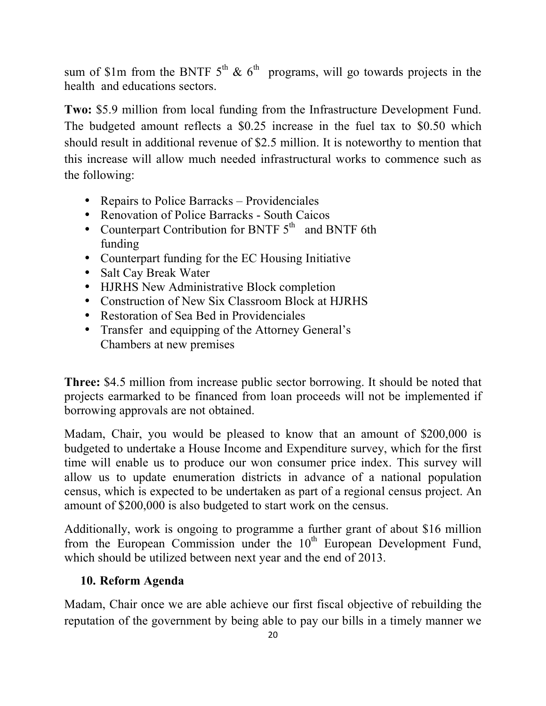sum of \$1m from the BNTF  $5<sup>th</sup>$  &  $6<sup>th</sup>$  programs, will go towards projects in the health and educations sectors.

**Two:** \$5.9 million from local funding from the Infrastructure Development Fund. The budgeted amount reflects a \$0.25 increase in the fuel tax to \$0.50 which should result in additional revenue of \$2.5 million. It is noteworthy to mention that this increase will allow much needed infrastructural works to commence such as the following:

- Repairs to Police Barracks Providenciales
- Renovation of Police Barracks South Caicos
- Counterpart Contribution for BNTF  $5<sup>th</sup>$  and BNTF 6th funding
- Counterpart funding for the EC Housing Initiative
- Salt Cay Break Water
- HJRHS New Administrative Block completion
- Construction of New Six Classroom Block at HJRHS
- Restoration of Sea Bed in Providenciales
- Transfer and equipping of the Attorney General's Chambers at new premises

**Three:** \$4.5 million from increase public sector borrowing. It should be noted that projects earmarked to be financed from loan proceeds will not be implemented if borrowing approvals are not obtained.

Madam, Chair, you would be pleased to know that an amount of \$200,000 is budgeted to undertake a House Income and Expenditure survey, which for the first time will enable us to produce our won consumer price index. This survey will allow us to update enumeration districts in advance of a national population census, which is expected to be undertaken as part of a regional census project. An amount of \$200,000 is also budgeted to start work on the census.

Additionally, work is ongoing to programme a further grant of about \$16 million from the European Commission under the  $10<sup>th</sup>$  European Development Fund, which should be utilized between next year and the end of 2013.

# **10. Reform Agenda**

Madam, Chair once we are able achieve our first fiscal objective of rebuilding the reputation of the government by being able to pay our bills in a timely manner we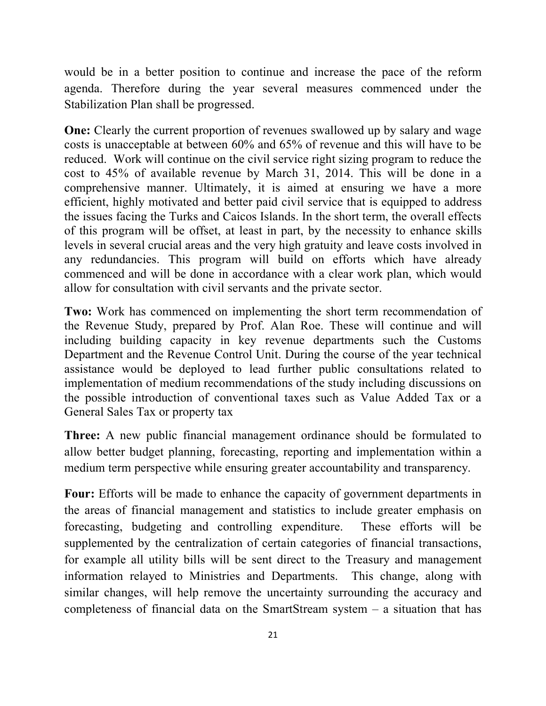would be in a better position to continue and increase the pace of the reform agenda. Therefore during the year several measures commenced under the Stabilization Plan shall be progressed.

**One:** Clearly the current proportion of revenues swallowed up by salary and wage costs is unacceptable at between 60% and 65% of revenue and this will have to be reduced. Work will continue on the civil service right sizing program to reduce the cost to 45% of available revenue by March 31, 2014. This will be done in a comprehensive manner. Ultimately, it is aimed at ensuring we have a more efficient, highly motivated and better paid civil service that is equipped to address the issues facing the Turks and Caicos Islands. In the short term, the overall effects of this program will be offset, at least in part, by the necessity to enhance skills levels in several crucial areas and the very high gratuity and leave costs involved in any redundancies. This program will build on efforts which have already commenced and will be done in accordance with a clear work plan, which would allow for consultation with civil servants and the private sector.

**Two:** Work has commenced on implementing the short term recommendation of the Revenue Study, prepared by Prof. Alan Roe. These will continue and will including building capacity in key revenue departments such the Customs Department and the Revenue Control Unit. During the course of the year technical assistance would be deployed to lead further public consultations related to implementation of medium recommendations of the study including discussions on the possible introduction of conventional taxes such as Value Added Tax or a General Sales Tax or property tax

**Three:** A new public financial management ordinance should be formulated to allow better budget planning, forecasting, reporting and implementation within a medium term perspective while ensuring greater accountability and transparency.

**Four:** Efforts will be made to enhance the capacity of government departments in the areas of financial management and statistics to include greater emphasis on forecasting, budgeting and controlling expenditure. These efforts will be supplemented by the centralization of certain categories of financial transactions, for example all utility bills will be sent direct to the Treasury and management information relayed to Ministries and Departments. This change, along with similar changes, will help remove the uncertainty surrounding the accuracy and completeness of financial data on the SmartStream system – a situation that has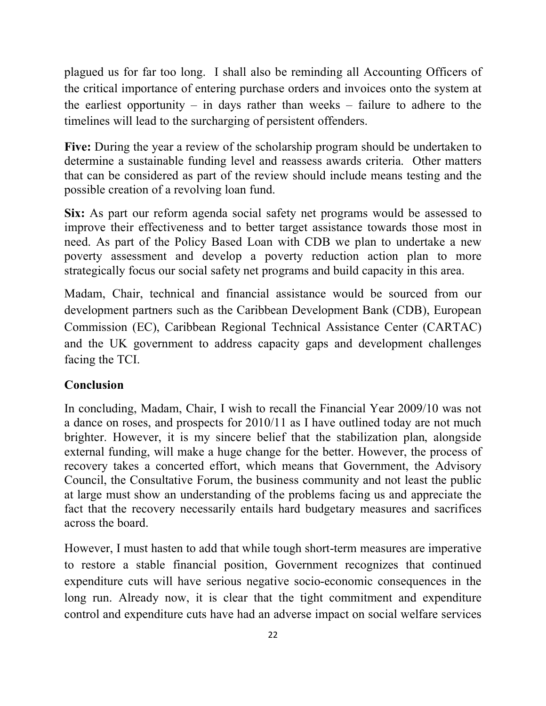plagued us for far too long. I shall also be reminding all Accounting Officers of the critical importance of entering purchase orders and invoices onto the system at the earliest opportunity – in days rather than weeks – failure to adhere to the timelines will lead to the surcharging of persistent offenders.

**Five:** During the year a review of the scholarship program should be undertaken to determine a sustainable funding level and reassess awards criteria. Other matters that can be considered as part of the review should include means testing and the possible creation of a revolving loan fund.

**Six:** As part our reform agenda social safety net programs would be assessed to improve their effectiveness and to better target assistance towards those most in need. As part of the Policy Based Loan with CDB we plan to undertake a new poverty assessment and develop a poverty reduction action plan to more strategically focus our social safety net programs and build capacity in this area.

Madam, Chair, technical and financial assistance would be sourced from our development partners such as the Caribbean Development Bank (CDB), European Commission (EC), Caribbean Regional Technical Assistance Center (CARTAC) and the UK government to address capacity gaps and development challenges facing the TCI.

## **Conclusion**

In concluding, Madam, Chair, I wish to recall the Financial Year 2009/10 was not a dance on roses, and prospects for 2010/11 as I have outlined today are not much brighter. However, it is my sincere belief that the stabilization plan, alongside external funding, will make a huge change for the better. However, the process of recovery takes a concerted effort, which means that Government, the Advisory Council, the Consultative Forum, the business community and not least the public at large must show an understanding of the problems facing us and appreciate the fact that the recovery necessarily entails hard budgetary measures and sacrifices across the board.

However, I must hasten to add that while tough short-term measures are imperative to restore a stable financial position, Government recognizes that continued expenditure cuts will have serious negative socio-economic consequences in the long run. Already now, it is clear that the tight commitment and expenditure control and expenditure cuts have had an adverse impact on social welfare services